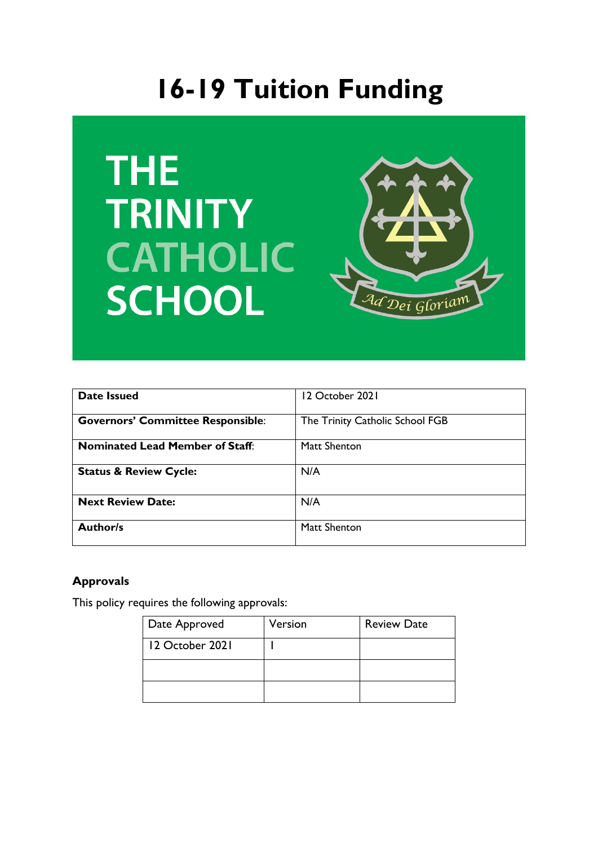# **16-19 Tuition Funding**





| <b>Date Issued</b>                       | 12 October 2021                 |
|------------------------------------------|---------------------------------|
| <b>Governors' Committee Responsible:</b> | The Trinity Catholic School FGB |
| <b>Nominated Lead Member of Staff:</b>   | Matt Shenton                    |
| <b>Status &amp; Review Cycle:</b>        | N/A                             |
| <b>Next Review Date:</b>                 | N/A                             |
| <b>Author/s</b>                          | Matt Shenton                    |

### **Approvals**

This policy requires the following approvals:

| Date Approved   | Version | <b>Review Date</b> |
|-----------------|---------|--------------------|
| 12 October 2021 |         |                    |
|                 |         |                    |
|                 |         |                    |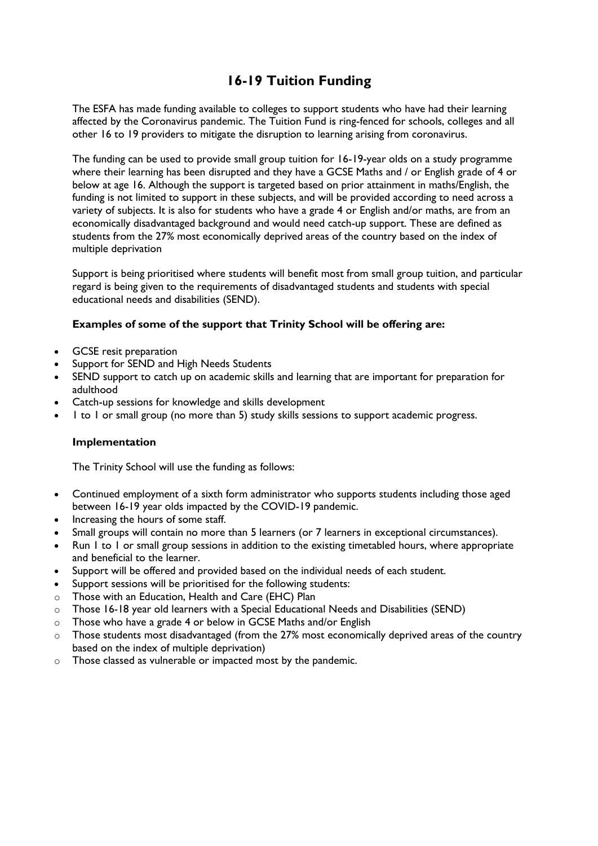## **16-19 Tuition Funding**

The ESFA has made funding available to colleges to support students who have had their learning affected by the Coronavirus pandemic. The Tuition Fund is ring-fenced for schools, colleges and all other 16 to 19 providers to mitigate the disruption to learning arising from coronavirus.

The funding can be used to provide small group tuition for 16-19-year olds on a study programme where their learning has been disrupted and they have a GCSE Maths and / or English grade of 4 or below at age 16. Although the support is targeted based on prior attainment in maths/English, the funding is not limited to support in these subjects, and will be provided according to need across a variety of subjects. It is also for students who have a grade 4 or English and/or maths, are from an economically disadvantaged background and would need catch-up support. These are defined as students from the 27% most economically deprived areas of the country based on the index of multiple deprivation

Support is being prioritised where students will benefit most from small group tuition, and particular regard is being given to the requirements of disadvantaged students and students with special educational needs and disabilities (SEND).

#### **Examples of some of the support that Trinity School will be offering are:**

- GCSE resit preparation
- Support for SEND and High Needs Students
- SEND support to catch up on academic skills and learning that are important for preparation for adulthood
- Catch-up sessions for knowledge and skills development
- 1 to 1 or small group (no more than 5) study skills sessions to support academic progress.

#### **Implementation**

The Trinity School will use the funding as follows:

- Continued employment of a sixth form administrator who supports students including those aged between 16-19 year olds impacted by the COVID-19 pandemic.
- Increasing the hours of some staff.
- Small groups will contain no more than 5 learners (or 7 learners in exceptional circumstances).
- Run 1 to 1 or small group sessions in addition to the existing timetabled hours, where appropriate and beneficial to the learner.
- Support will be offered and provided based on the individual needs of each student.
- Support sessions will be prioritised for the following students:
- o Those with an Education, Health and Care (EHC) Plan
- o Those 16-18 year old learners with a Special Educational Needs and Disabilities (SEND)
- o Those who have a grade 4 or below in GCSE Maths and/or English
- o Those students most disadvantaged (from the 27% most economically deprived areas of the country based on the index of multiple deprivation)
- o Those classed as vulnerable or impacted most by the pandemic.